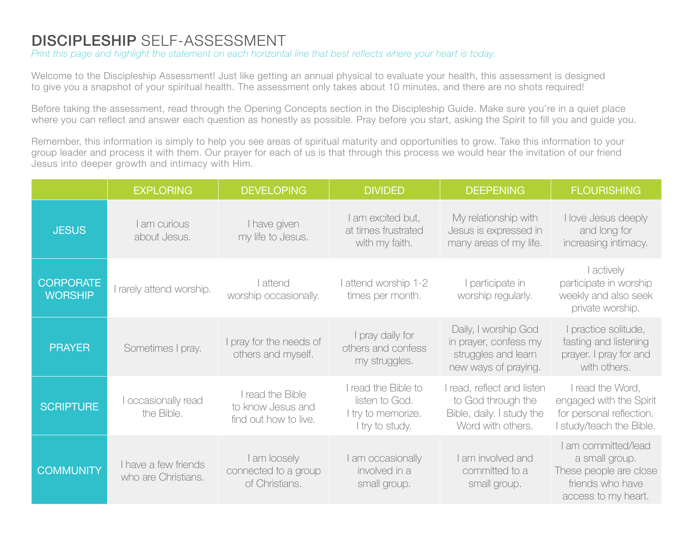## DISCIPLESHIP SELF-ASSESSMENT

*Print this page and highlight the statement on each horizontal line that best reflects where your heart is today.*

Welcome to the Discipleship Assessment! Just like getting an annual physical to evaluate your health, this assessment is designed to give you a snapshot of your spiritual health. The assessment only takes about 10 minutes, and there are no shots required!

Before taking the assessment, read through the Opening Concepts section in the Discipleship Guide. Make sure you're in a quiet place where you can reflect and answer each question as honestly as possible. Pray before you start, asking the Spirit to fill you and guide you.

Remember, this information is simply to help you see areas of spiritual maturity and opportunities to grow. Take this information to your group leader and process it with them. Our prayer for each of us is that through this process we would hear the invitation of our friend Jesus into deeper growth and intimacy with Him.

|                                    | <b>EXPLORING</b>                            | <b>DEVELOPING</b>                                              | <b>DIVIDED</b>                                                                 | <b>DEEPENING</b>                                                                                   | <b>FLOURISHING</b>                                                                                         |
|------------------------------------|---------------------------------------------|----------------------------------------------------------------|--------------------------------------------------------------------------------|----------------------------------------------------------------------------------------------------|------------------------------------------------------------------------------------------------------------|
| <b>JESUS</b>                       | I am curious<br>about Jesus.                | I have given<br>my life to Jesus.                              | I am excited but,<br>at times frustrated<br>with my faith.                     | My relationship with<br>Jesus is expressed in<br>many areas of my life.                            | I love Jesus deeply<br>and long for<br>increasing intimacy.                                                |
| <b>CORPORATE</b><br><b>WORSHIP</b> | I rarely attend worship.                    | l attend<br>worship occasionally.                              | I attend worship 1-2<br>times per month.                                       | I participate in<br>worship regularly.                                                             | I actively<br>participate in worship<br>weekly and also seek<br>private worship.                           |
| <b>PRAYER</b>                      | Sometimes I pray.                           | I pray for the needs of<br>others and myself.                  | I pray daily for<br>others and confess<br>my struggles.                        | Daily, I worship God<br>in prayer, confess my<br>struggles and learn<br>new ways of praying.       | I practice solitude,<br>fasting and listening<br>prayer. I pray for and<br>with others.                    |
| <b>SCRIPTURE</b>                   | I occasionally read<br>the Bible.           | I read the Bible<br>to know Jesus and<br>find out how to live. | I read the Bible to<br>listen to God.<br>I try to memorize.<br>I try to study. | I read, reflect and listen<br>to God through the<br>Bible, daily. I study the<br>Word with others. | I read the Word,<br>engaged with the Spirit<br>for personal reflection.<br>I study/teach the Bible.        |
| <b>COMMUNITY</b>                   | I have a few friends<br>who are Christians. | I am loosely<br>connected to a group<br>of Christians.         | I am occasionally<br>involved in a<br>small group.                             | I am involved and<br>committed to a<br>small group.                                                | I am committed/lead<br>a small group.<br>These people are close<br>friends who have<br>access to my heart. |